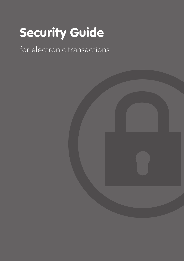# Security Guide

## for electronic transactions

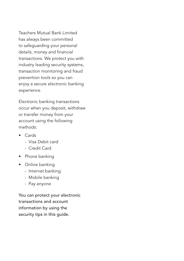Teachers Mutual Bank Limited has always been committed to safeguarding your personal details, money and financial transactions. We protect you with industry leading security systems, transaction monitoring and fraud prevention tools so you can enjoy a secure electronic banking experience.

Electronic banking transactions occur when you deposit, withdraw or transfer money from your account using the following methods:

- Cards
	- Visa Debit card
	- Credit Card
- Phone banking
- Online banking
	- Internet banking
	- Mobile banking
	- Pay anyone

You can protect your electronic transactions and account information by using the security tips in this guide.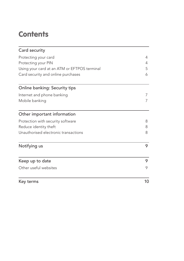## **Contents**

| Card security                                |    |
|----------------------------------------------|----|
| Protecting your card                         | 4  |
| Protecting your PIN                          | 4  |
| Using your card at an ATM or EFTPOS terminal | 5  |
| Card security and online purchases           | 6  |
| Online banking: Security tips                |    |
| Internet and phone banking                   | 7  |
| Mobile banking                               |    |
| Other important information                  |    |
| Protection with security software            | 8  |
| Reduce identity theft                        | 8  |
| Unauthorised electronic transactions         | 8  |
| Notifying us                                 | 9  |
| Keep up to date                              | 9  |
| Other useful websites                        | 9  |
| Key terms                                    | 10 |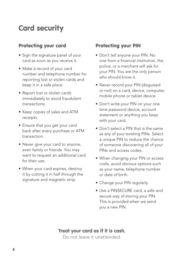## Card security

## Protecting your card

- Sign the signature panel of your card as soon as you receive it.
- Make a record of your card number and telephone number for reporting lost or stolen cards and keep it in a safe place.
- Report lost or stolen cards immediately to avoid fraudulent transactions.
- Keep copies of sales and ATM receipts.
- Ensure that you get your card back after every purchase or ATM transaction.
- Never give your card to anyone, even family or friends. You may want to request an additional card for their use.
- When your card expires, destroy it by cutting it in half through the signature and magnetic strip.

## Protecting your PIN

- Don't tell anyone your PIN. No one from a financial institution, the police, or a merchant will ask for your PIN. You are the only person who should know it.
- Never record your PIN (disguised or not) on a card, device, computer, mobile phone or tablet device.
- Don't write your PIN on your one time password device, account statement or anything you keep with your card.
- Don't select a PIN that is the same as any of your existing PINs. Select a unique PIN to reduce the chance of someone discovering all of your PINs and access codes.
- When changing your PIN or access code, avoid obvious options such as your name, telephone number or date of birth.
- Change your PIN regularly.
- Use a PINSECURE card, a safe and secure way of storing your PIN. This is provided when we send you a new PIN.

## Treat your card as if it is cash.

Do not leave it unattended.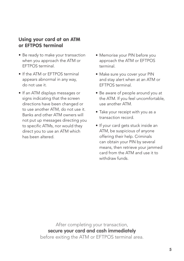#### Using your card at an ATM or EFTPOS terminal

- Be ready to make your transaction when you approach the ATM or EFTPOS terminal.
- If the ATM or EFTPOS terminal appears abnormal in any way, do not use it.
- If an ATM displays messages or signs indicating that the screen directions have been changed or to use another ATM, do not use it. Banks and other ATM owners will not put up messages directing you to specific ATMs, nor would they direct you to use an ATM which has been altered.
- Memorise your PIN before you approach the ATM or EFTPOS terminal.
- Make sure you cover your PIN and stay alert when at an ATM or EFTPOS terminal.
- Be aware of people around you at the ATM. If you feel uncomfortable, use another ATM.
- Take your receipt with you as a transaction record.
- If your card gets stuck inside an ATM, be suspicious of anyone offering their help. Criminals can obtain your PIN by several means, then retrieve your jammed card from the ATM and use it to withdraw funds.

After completing your transaction, secure your card and cash immediately before exiting the ATM or EFTPOS terminal area.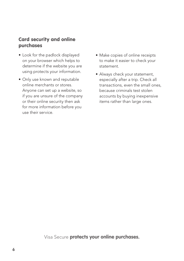### Card security and online purchases

- Look for the padlock displayed on your browser which helps to determine if the website you are using protects your information.
- Only use known and reputable online merchants or stores. Anyone can set up a website, so if you are unsure of the company or their online security then ask for more information before you use their service.
- Make copies of online receipts to make it easier to check your statement.
- Always check your statement, especially after a trip. Check all transactions, even the small ones, because criminals test stolen accounts by buying inexpensive items rather than large ones.

Visa Secure protects your online purchases.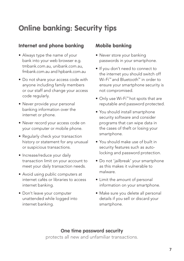## Online banking: Security tips

## Internet and phone banking

- Always type the name of your bank into your web browser e.g. tmbank.com.au, unibank.com.au, fmbank.com.au and hpbank.com.au
- Do not share your access code with anyone including family members or our staff and change your access code regularly.
- Never provide your personal banking information over the internet or phone.
- Never record your access code on your computer or mobile phone.
- Regularly check your transaction history or statement for any unusual or suspicious transactions.
- Increase/reduce your daily transaction limit on your account to meet your daily transaction needs.
- Avoid using public computers at internet cafés or libraries to access internet banking.
- Don't leave your computer unattended while logged into internet banking.

## Mobile banking

- Never store your banking passwords in your smartphone.
- If you don't need to connect to the internet you should switch off Wi-Fi™ and Bluetooth™ in order to ensure your smartphone security is not compromised.
- Only use Wi-Fi™ hot spots that are reputable and password protected.
- You should install smartphone security software and consider programs that can wipe data in the cases of theft or losing your smartphone.
- You should make use of built in security features such as autolocking and password protection.
- Do not 'iailbreak' your smartphone as this makes it vulnerable to malware.
- Limit the amount of personal information on your smartphone.
- Make sure you delete all personal details if you sell or discard your smartphone.

#### One time password security

protects all new and unfamiliar transactions.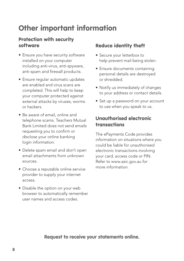## Other important information

## Protection with security software

- Ensure you have security software installed on your computer including anti-virus, anti-spyware, anti-spam and firewall products.
- Ensure regular automatic updates are enabled and virus scans are completed. This will help to keep your computer protected against external attacks by viruses, worms or hackers.
- Be aware of email, online and telephone scams. Teachers Mutual Bank Limited does not send emails requesting you to confirm or disclose your online banking login information.
- Delete spam email and don't open email attachments from unknown sources.
- Choose a reputable online service provider to supply your internet access.
- Disable the option on your web browser to automatically remember user names and access codes.

## Reduce identity theft

- Secure your letterbox to help prevent mail being stolen.
- Ensure documents containing personal details are destroyed or shredded.
- Notify us immediately of changes to your address or contact details.
- Set up a password on your account to use when you speak to us.

## Unauthorised electronic transactions

The ePayments Code provides information on situations where you could be liable for unauthorised electronic transactions involving your card, access code or PIN. Refer to www.asic.gov.au for more information.

Request to receive your statements online.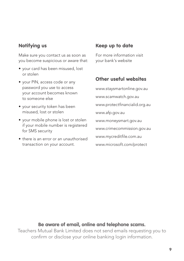Make sure you contact us as soon as you become suspicious or aware that:

- your card has been misused, lost or stolen
- your PIN, access code or any password you use to access your account becomes known to someone else
- your security token has been misused, lost or stolen
- your mobile phone is lost or stolen if your mobile number is registered for SMS security
- there is an error or an unauthorised transaction on your account.

#### Notifying us and the Keep up to date

For more information visit your bank's website

## Other useful websites

www.staysmartonline.gov.au www.scamwatch.gov.au www.protectfinancialid.org.au www.afp.gov.au www.moneysmart.gov.au www.crimecommission.gov.au www.mycreditfile.com.au www.microsoft.com/protect

#### Be aware of email, online and telephone scams.

Teachers Mutual Bank Limited does not send emails requesting you to confirm or disclose your online banking login information.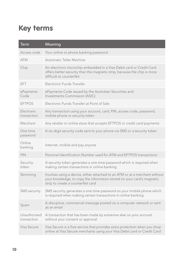## Key terms

| Term                        | Meaning                                                                                                                                                                                     |
|-----------------------------|---------------------------------------------------------------------------------------------------------------------------------------------------------------------------------------------|
| Access code                 | Your online or phone banking password                                                                                                                                                       |
| <b>ATM</b>                  | Automatic Teller Machine                                                                                                                                                                    |
| Chip                        | An electronic microchip embedded in a Visa Debit card or Credit Card<br>offers better security than the magnetic strip, because the chip is more<br>difficult to counterfeit                |
| <b>EFT</b>                  | Electronic Funds Transfer                                                                                                                                                                   |
| ePayments<br>Code           | ePayments Code issued by the Australian Securities and<br>Investments Commission (ASIC)                                                                                                     |
| <b>EFTPOS</b>               | Electronic Funds Transfer at Point of Sale                                                                                                                                                  |
| Electronic<br>transaction   | Any transaction using your account, card, PIN, access code, password,<br>mobile phone or security token                                                                                     |
| Merchant                    | Any retailer or online store that accepts EFTPOS or credit card payments                                                                                                                    |
| One time<br>password        | A six-digit security code sent to your phone via SMS or a security token                                                                                                                    |
| Online<br>banking           | Internet, mobile and pay anyone                                                                                                                                                             |
| PIN                         | Personal Identification Number used for ATM and EFTPOS transactions                                                                                                                         |
| Security<br>token           | A security token generates a one time password which is required when<br>making certain transactions in online banking                                                                      |
| Skimming                    | Involves using a device, either attached to an ATM or at a merchant without<br>your knowledge, to copy the information stored on your card's magnetic<br>strip to create a counterfeit card |
| <b>SMS</b> security         | SMS security generates a one time password on your mobile phone which<br>is required when making certain transactions in online banking                                                     |
| Spam                        | A disruptive, commercial message posted on a computer network or sent<br>as an email                                                                                                        |
| Unauthorised<br>transaction | A transaction that has been made by someone else on your account<br>without your consent or approval                                                                                        |
| Visa Secure                 | Visa Secure is a free service that provides extra protection when you shop<br>online at Visa Secure merchants using your Visa Debit card or Credit Card                                     |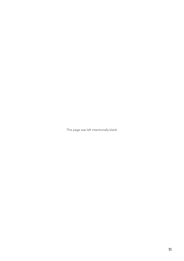This page was left intentionally blank